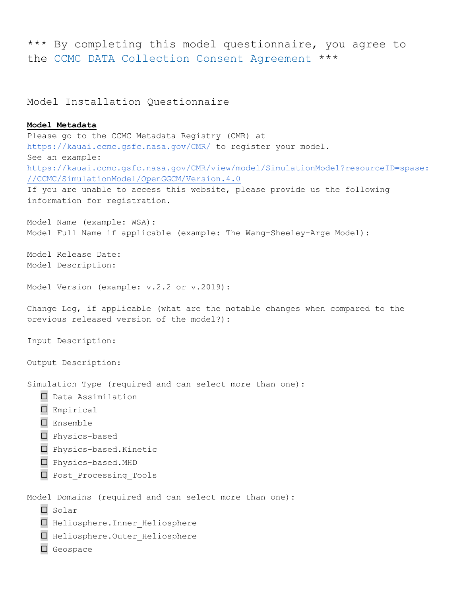\*\*\* By completing this model questionnaire, you agree to the CCMC DATA Collection Consent Agreement \*\*\*

Model Installation Questionnaire

```
Model Metadata
Please go to the CCMC Metadata Registry (CMR) at
https://kauai.ccmc.gsfc.nasa.gov/CMR/ to register your model.
See an example: 
https://kauai.ccmc.gsfc.nasa.gov/CMR/view/model/SimulationModel?resourceID=spase:
//CCMC/SimulationModel/OpenGGCM/Version.4.0
If you are unable to access this website, please provide us the following 
information for registration.
Model Name (example: WSA): 					
Model Full Name if applicable (example: The Wang-Sheeley-Arge Model): 					
Model Release Date: 					
Model Description: 					
Model Version (example: v.2.2 or v.2019): 					
Change Log, if applicable (what are the notable changes when compared to the 
previous released version of the model?): 					
Input Description: 					
Output Description: 					
Simulation Type (required and can select more than one):
   ☐ Data Assimilation 
   ☐ Empirical 
   ☐ Ensemble 
   ☐ Physics-based
   ☐ Physics-based.Kinetic 
   ☐ Physics-based.MHD 
   □ Post Processing Tools
Model Domains (required and can select more than one):
   ☐ Solar 
   ☐ Heliosphere.Inner_Heliosphere
   ☐ Heliosphere.Outer_Heliosphere 
   ☐ Geospace
```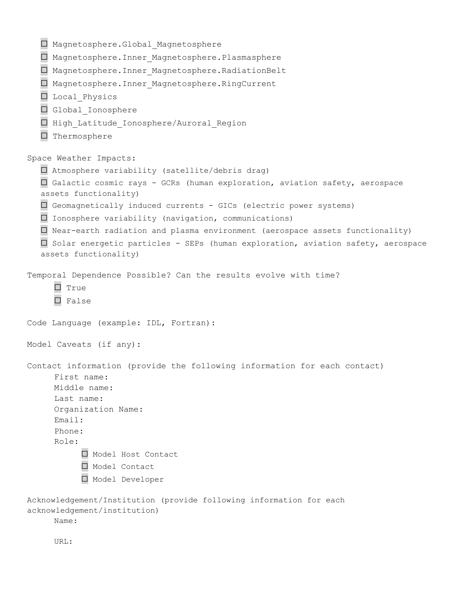```
☐ Magnetosphere.Global_Magnetosphere
   ☐ Magnetosphere.Inner_Magnetosphere.Plasmasphere
   ☐ Magnetosphere.Inner_Magnetosphere.RadiationBelt
   ☐ Magnetosphere.Inner_Magnetosphere.RingCurrent
   ☐ Local_Physics
   ☐ Global_Ionosphere 
   ☐ High_Latitude_Ionosphere/Auroral_Region
   ☐ Thermosphere
Space Weather Impacts:
   ☐ Atmosphere variability (satellite/debris drag)
   ☐ Galactic cosmic rays - GCRs (human exploration, aviation safety, aerospace 
   assets functionality)
   ☐ Geomagnetically induced currents - GICs (electric power systems)
   ☐ Ionosphere variability (navigation, communications)
   ☐ Near-earth radiation and plasma environment (aerospace assets functionality)
   ☐ Solar energetic particles - SEPs (human exploration, aviation safety, aerospace 
   assets functionality)
Temporal Dependence Possible? Can the results evolve with time?
      ☐ True
      ☐ False
Code Language (example: IDL, Fortran): 					
Model Caveats (if any): 					
Contact information (provide the following information for each contact)
     First name: 					
     Middle name: 					
      Last name: 					
     Organization Name: 					
     Email: 					
      Phone: 				
      Role:
           ☐ Model Host Contact
           ☐ Model Contact
           ☐ Model Developer
Acknowledgement/Institution (provide following information for each 
acknowledgement/institution)
     Name:
      URL:
```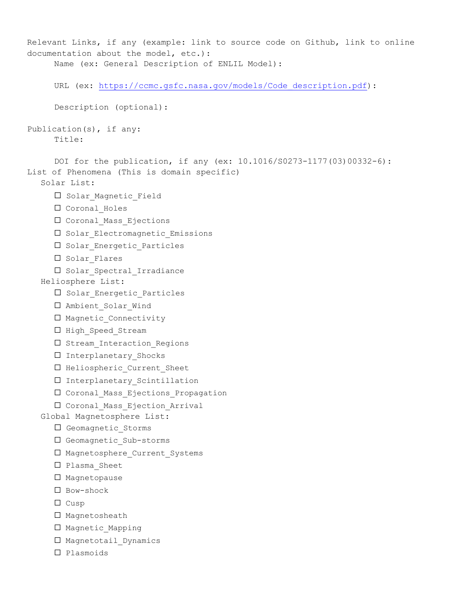```
Relevant Links, if any (example: link to source code on Github, link to online 
documentation about the model, etc.): 
     Name (ex: General Description of ENLIL Model): 					
     URL (ex: https://ccmc.gsfc.nasa.gov/models/Code_description.pdf): 					
     Description (optional): 					
Publication(s), if any:
     Title: 					
     DOI for the publication, if any (ex: 10.1016/S0273-1177(03)00332-6): 					
List of Phenomena (This is domain specific)
  Solar List:
     □ Solar Magnetic Field
     ☐ Coronal_Holes
     ☐ Coronal_Mass_Ejections
     ☐ Solar_Electromagnetic_Emissions
     □ Solar Energetic Particles
     ☐ Solar_Flares
     □ Solar Spectral Irradiance
  Heliosphere List:
     □ Solar Energetic Particles
     □ Ambient Solar Wind
     ☐ Magnetic_Connectivity
     □ High Speed Stream
     □ Stream Interaction Regions
     ☐ Interplanetary_Shocks
     □ Heliospheric Current Sheet
     ☐ Interplanetary_Scintillation
     ☐ Coronal_Mass_Ejections_Propagation
     ☐ Coronal_Mass_Ejection_Arrival
  Global Magnetosphere List:
     ☐ Geomagnetic_Storms
     ☐ Geomagnetic_Sub-storms
     ☐ Magnetosphere_Current_Systems
     ☐ Plasma_Sheet
     ☐ Magnetopause
     ☐ Bow-shock
     ☐ Cusp
     ☐ Magnetosheath
     ☐ Magnetic_Mapping
     □ Magnetotail Dynamics
     ☐ Plasmoids
```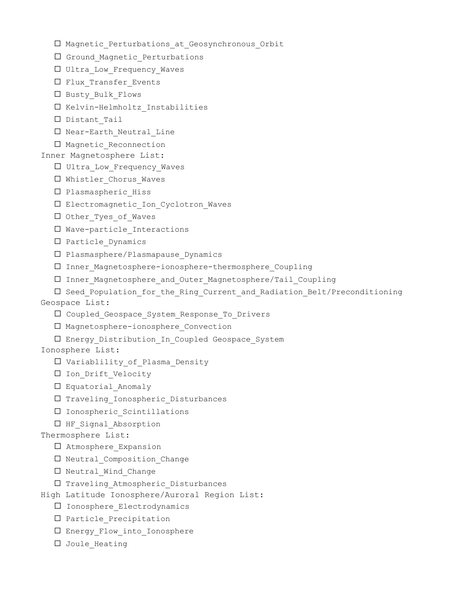- ☐ Magnetic\_Perturbations\_at\_Geosynchronous\_Orbit
- □ Ground Magnetic Perturbations
- □ Ultra Low Frequency Waves
- □ Flux Transfer Events
- ☐ Busty\_Bulk\_Flows
- ☐ Kelvin-Helmholtz\_Instabilities
- ☐ Distant\_Tail
- ☐ Near-Earth\_Neutral\_Line
- □ Magnetic Reconnection
- Inner Magnetosphere List:
	- ☐ Ultra\_Low\_Frequency\_Waves
	- □ Whistler Chorus Waves
	- ☐ Plasmaspheric\_Hiss
	- ☐ Electromagnetic\_Ion\_Cyclotron\_Waves
	- □ Other Tyes of Waves
	- ☐ Wave-particle\_Interactions
	- ☐ Particle\_Dynamics
	- ☐ Plasmasphere/Plasmapause\_Dynamics
	- ☐ Inner\_Magnetosphere-ionosphere-thermosphere\_Coupling
	- ☐ Inner\_Magnetosphere\_and\_Outer\_Magnetosphere/Tail\_Coupling
- ☐ Seed\_Population\_for\_the\_Ring\_Current\_and\_Radiation\_Belt/Preconditioning Geospace List:
	- ☐ Coupled\_Geospace\_System\_Response\_To\_Drivers
	- ☐ Magnetosphere-ionosphere\_Convection
	- ☐ Energy\_Distribution\_In\_Coupled Geospace\_System
- Ionosphere List:
	- ☐ Variablility\_of\_Plasma\_Density
	- ☐ Ion\_Drift\_Velocity
	- □ Equatorial Anomaly
	- ☐ Traveling\_Ionospheric\_Disturbances
	- ☐ Ionospheric\_Scintillations
	- □ HF Signal Absorption
- Thermosphere List:
	- □ Atmosphere Expansion
	- □ Neutral Composition Change
	- □ Neutral Wind Change
- ☐ Traveling\_Atmospheric\_Disturbances
- High Latitude Ionosphere/Auroral Region List:
	- ☐ Ionosphere\_Electrodynamics
	- ☐ Particle\_Precipitation
	- ☐ Energy\_Flow\_into\_Ionosphere
	- □ Joule Heating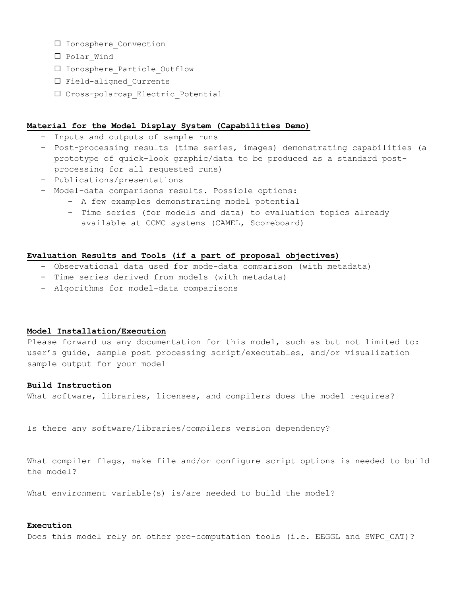- □ Ionosphere Convection
- ☐ Polar\_Wind
- ☐ Ionosphere\_Particle\_Outflow
- ☐ Field-aligned\_Currents
- ☐ Cross-polarcap\_Electric\_Potential

# **Material for the Model Display System (Capabilities Demo)**

- Inputs and outputs of sample runs
- Post-processing results (time series, images) demonstrating capabilities (a prototype of quick-look graphic/data to be produced as a standard postprocessing for all requested runs)
- Publications/presentations
- Model-data comparisons results. Possible options:
	- A few examples demonstrating model potential
	- Time series (for models and data) to evaluation topics already available at CCMC systems (CAMEL, Scoreboard)

# **Evaluation Results and Tools (if a part of proposal objectives)**

- Observational data used for mode-data comparison (with metadata)
- Time series derived from models (with metadata)
- Algorithms for model-data comparisons

# **Model Installation/Execution**

Please forward us any documentation for this model, such as but not limited to: user's guide, sample post processing script/executables, and/or visualization sample output for your model

# **Build Instruction**

What software, libraries, licenses, and compilers does the model requires?

Is there any software/libraries/compilers version dependency?

What compiler flags, make file and/or configure script options is needed to build the model? 

What environment variable(s) is/are needed to build the model? 

# **Execution**

Does this model rely on other pre-computation tools (i.e. EEGGL and SWPC CAT)?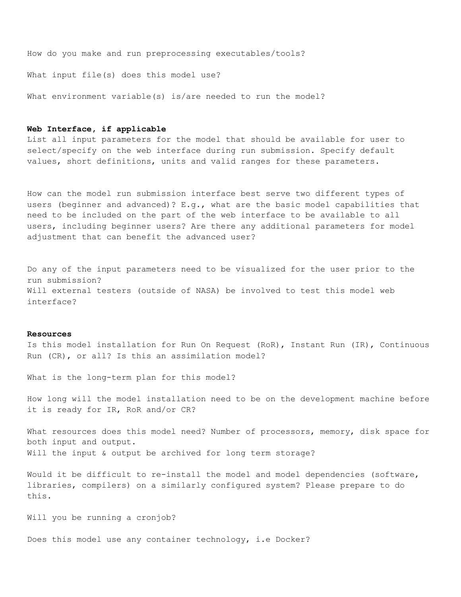How do you make and run preprocessing executables/tools? 

What input file(s) does this model use? 

What environment variable(s) is/are needed to run the model?

### **Web Interface, if applicable**

List all input parameters for the model that should be available for user to select/specify on the web interface during run submission. Specify default values, short definitions, units and valid ranges for these parameters.

How can the model run submission interface best serve two different types of users (beginner and advanced)? E.g., what are the basic model capabilities that need to be included on the part of the web interface to be available to all users, including beginner users? Are there any additional parameters for model adjustment that can benefit the advanced user?

Do any of the input parameters need to be visualized for the user prior to the run submission? Will external testers (outside of NASA) be involved to test this model web interface? 

#### **Resources**

Is this model installation for Run On Request (RoR), Instant Run (IR), Continuous Run (CR), or all? Is this an assimilation model? 

What is the long-term plan for this model? 

How long will the model installation need to be on the development machine before it is ready for IR, RoR and/or CR? 

What resources does this model need? Number of processors, memory, disk space for both input and output. Will the input & output be archived for long term storage?

Would it be difficult to re-install the model and model dependencies (software, libraries, compilers) on a similarly configured system? Please prepare to do this. 

Will you be running a cronjob? 

Does this model use any container technology, i.e Docker?